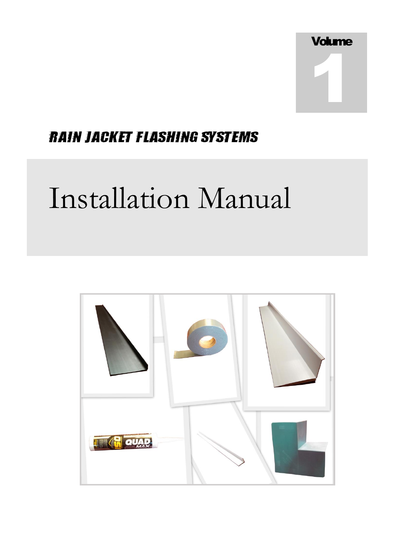

## **RAIN JACKET FLASHING SYSTEMS**

# Installation Manual

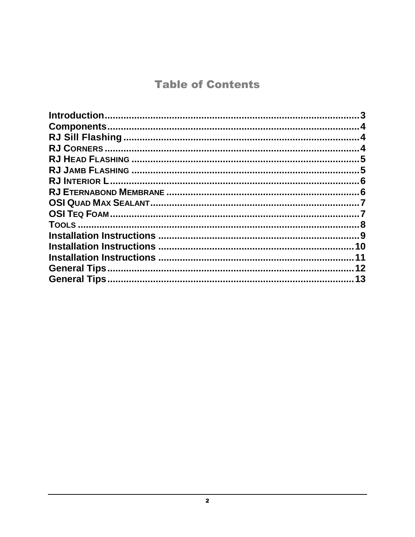## **Table of Contents**

| $\overline{11}$ |
|-----------------|
|                 |
|                 |
|                 |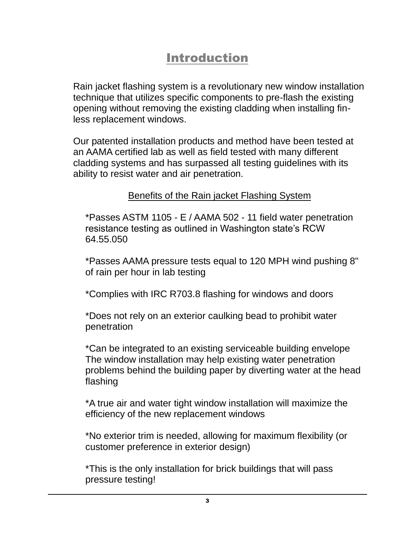## Introduction

<span id="page-2-0"></span>Rain jacket flashing system is a revolutionary new window installation technique that utilizes specific components to pre-flash the existing opening without removing the existing cladding when installing finless replacement windows.

Our patented installation products and method have been tested at an AAMA certified lab as well as field tested with many different cladding systems and has surpassed all testing guidelines with its ability to resist water and air penetration.

#### Benefits of the Rain jacket Flashing System

\*Passes ASTM 1105 - E / AAMA 502 - 11 field water penetration resistance testing as outlined in Washington state's RCW 64.55.050

\*Passes AAMA pressure tests equal to 120 MPH wind pushing 8" of rain per hour in lab testing

\*Complies with IRC R703.8 flashing for windows and doors

\*Does not rely on an exterior caulking bead to prohibit water penetration

\*Can be integrated to an existing serviceable building envelope The window installation may help existing water penetration problems behind the building paper by diverting water at the head flashing

\*A true air and water tight window installation will maximize the efficiency of the new replacement windows

\*No exterior trim is needed, allowing for maximum flexibility (or customer preference in exterior design)

\*This is the only installation for brick buildings that will pass pressure testing!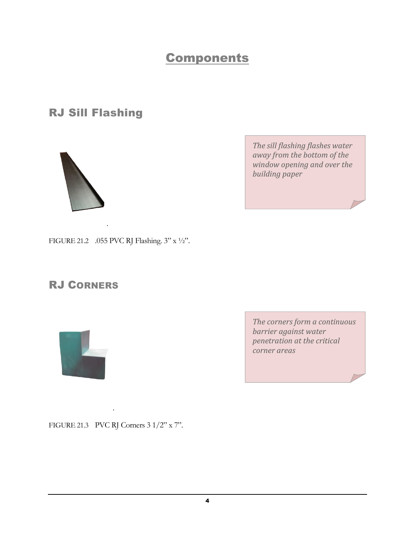## **Components**

<span id="page-3-1"></span><span id="page-3-0"></span>RJ Sill Flashing



*The sill flashing flashes water away from the bottom of the window opening and over the building paper*

FIGURE 21.2 .055 PVC RJ Flashing. 3" x ½".

.

#### <span id="page-3-2"></span>RJ CORNERS



*The corners form a continuous barrier against water penetration at the critical corner areas*

FIGURE 21.3 PVC RJ Corners 3 1/2" x 7".

.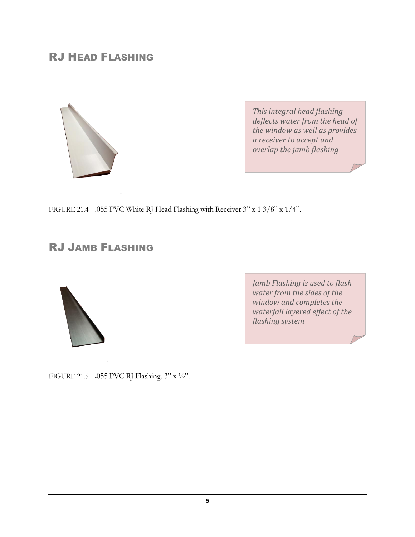#### <span id="page-4-0"></span>RJ HEAD FLASHING



*This integral head flashing deflects water from the head of the window as well as provides a receiver to accept and overlap the jamb flashing*

FIGURE 21.4 .055 PVC White RJ Head Flashing with Receiver 3" x 1 3/8" x 1/4".

#### <span id="page-4-1"></span>RJ JAMB FLASHING

.



*Jamb Flashing is used to flash water from the sides of the window and completes the waterfall layered effect of the flashing system* 

FIGURE 21.5 .055 PVC RJ Flashing. 3" x ½".

.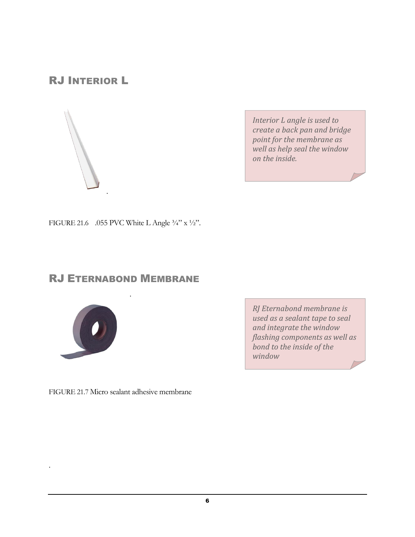### <span id="page-5-0"></span>RJ INTERIOR L



*Interior L angle is used to create a back pan and bridge point for the membrane as well as help seal the window on the inside.* 

FIGURE 21.6 .055 PVC White L Angle  $\frac{3}{4}$  x  $\frac{1}{2}$ ".

.

#### <span id="page-5-1"></span>RJ ETERNABOND MEMBRANE

.



.

*RJ Eternabond membrane is used as a sealant tape to seal and integrate the window flashing components as well as bond to the inside of the window*

FIGURE 21.7 Micro sealant adhesive membrane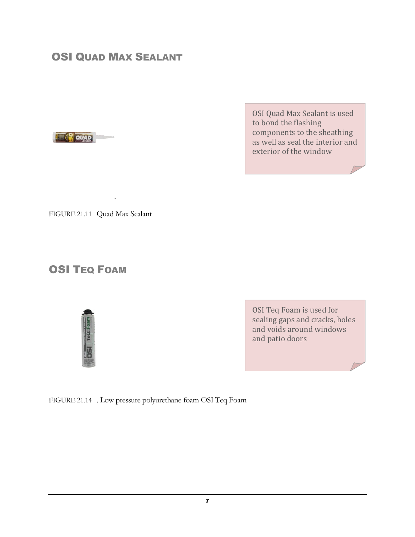#### <span id="page-6-0"></span>OSI QUAD MAX SEALANT



OSI Quad Max Sealant is used to bond the flashing components to the sheathing as well as seal the interior and exterior of the window

FIGURE 21.11 Quad Max Sealant

.

#### <span id="page-6-1"></span>**OSI TEQ FOAM**



OSI Teq Foam is used for sealing gaps and cracks, holes and voids around windows and patio doors

FIGURE 21.14 . Low pressure polyurethane foam OSI Teq Foam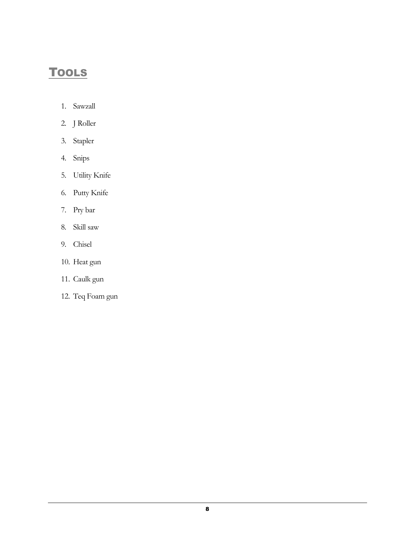## <span id="page-7-0"></span>**TOOLS**

- 1. Sawzall
- 2. J Roller
- 3. Stapler
- 4. Snips
- 5. Utility Knife
- 6. Putty Knife
- 7. Pry bar
- 8. Skill saw
- 9. Chisel
- 10. Heat gun
- 11. Caulk gun
- 12. Teq Foam gun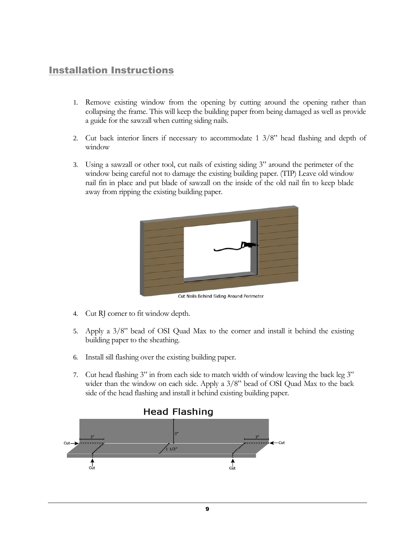#### <span id="page-8-0"></span>Installation Instructions

- 1. Remove existing window from the opening by cutting around the opening rather than collapsing the frame. This will keep the building paper from being damaged as well as provide a guide for the sawzall when cutting siding nails.
- 2. Cut back interior liners if necessary to accommodate 1 3/8" head flashing and depth of window
- 3. Using a sawzall or other tool, cut nails of existing siding 3" around the perimeter of the window being careful not to damage the existing building paper. (TIP) Leave old window nail fin in place and put blade of sawzall on the inside of the old nail fin to keep blade away from ripping the existing building paper.



Cut Nails Behind Siding Around Perimeter

- 4. Cut RJ corner to fit window depth.
- 5. Apply a 3/8" bead of OSI Quad Max to the corner and install it behind the existing building paper to the sheathing.
- 6. Install sill flashing over the existing building paper.
- 7. Cut head flashing 3" in from each side to match width of window leaving the back leg 3" wider than the window on each side. Apply a 3/8" bead of OSI Quad Max to the back side of the head flashing and install it behind existing building paper.

#### **Head Flashing**

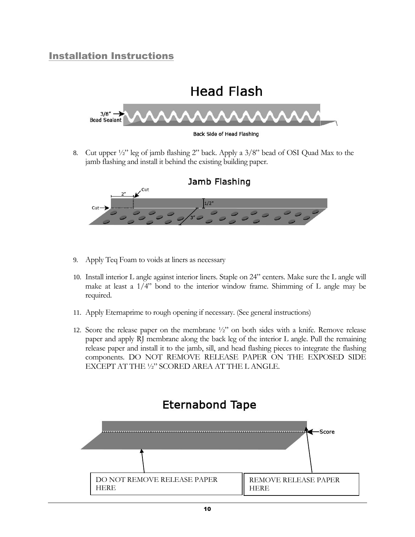#### <span id="page-9-0"></span>Installation Instructions



8. Cut upper ½" leg of jamb flashing 2" back. Apply a 3/8" bead of OSI Quad Max to the jamb flashing and install it behind the existing building paper.



- 9. Apply Teq Foam to voids at liners as necessary
- 10. Install interior L angle against interior liners. Staple on 24" centers. Make sure the L angle will make at least a 1/4" bond to the interior window frame. Shimming of L angle may be required.
- 11. Apply Eternaprime to rough opening if necessary. (See general instructions)
- 12. Score the release paper on the membrane  $\frac{1}{2}$  on both sides with a knife. Remove release paper and apply RJ membrane along the back leg of the interior L angle. Pull the remaining release paper and install it to the jamb, sill, and head flashing pieces to integrate the flashing components. DO NOT REMOVE RELEASE PAPER ON THE EXPOSED SIDE EXCEPT AT THE ½" SCORED AREA AT THE L ANGLE.

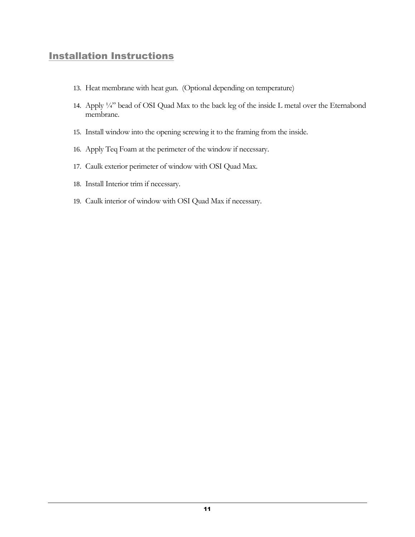#### <span id="page-10-0"></span>**Installation Instructions**

- 13. Heat membrane with heat gun. (Optional depending on temperature)
- 14. Apply ¼" bead of OSI Quad Max to the back leg of the inside L metal over the Eternabond membrane.
- 15. Install window into the opening screwing it to the framing from the inside.
- 16. Apply Teq Foam at the perimeter of the window if necessary.
- 17. Caulk exterior perimeter of window with OSI Quad Max.
- 18. Install Interior trim if necessary.
- 19. Caulk interior of window with OSI Quad Max if necessary.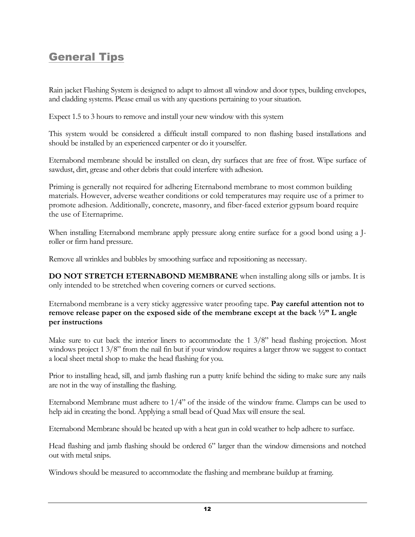## <span id="page-11-0"></span>**General Tips**

Rain jacket Flashing System is designed to adapt to almost all window and door types, building envelopes, and cladding systems. Please email us with any questions pertaining to your situation.

Expect 1.5 to 3 hours to remove and install your new window with this system

This system would be considered a difficult install compared to non flashing based installations and should be installed by an experienced carpenter or do it yourselfer.

Eternabond membrane should be installed on clean, dry surfaces that are free of frost. Wipe surface of sawdust, dirt, grease and other debris that could interfere with adhesion.

Priming is generally not required for adhering Eternabond membrane to most common building materials. However, adverse weather conditions or cold temperatures may require use of a primer to promote adhesion. Additionally, concrete, masonry, and fiber-faced exterior gypsum board require the use of Eternaprime.

When installing Eternabond membrane apply pressure along entire surface for a good bond using a Jroller or firm hand pressure.

Remove all wrinkles and bubbles by smoothing surface and repositioning as necessary.

**DO NOT STRETCH ETERNABOND MEMBRANE** when installing along sills or jambs. It is only intended to be stretched when covering corners or curved sections.

Eternabond membrane is a very sticky aggressive water proofing tape. **Pay careful attention not to remove release paper on the exposed side of the membrane except at the back ½" L angle per instructions**

Make sure to cut back the interior liners to accommodate the 1 3/8" head flashing projection. Most windows project 1 3/8" from the nail fin but if your window requires a larger throw we suggest to contact a local sheet metal shop to make the head flashing for you.

Prior to installing head, sill, and jamb flashing run a putty knife behind the siding to make sure any nails are not in the way of installing the flashing.

Eternabond Membrane must adhere to 1/4" of the inside of the window frame. Clamps can be used to help aid in creating the bond. Applying a small bead of Quad Max will ensure the seal.

Eternabond Membrane should be heated up with a heat gun in cold weather to help adhere to surface.

Head flashing and jamb flashing should be ordered 6" larger than the window dimensions and notched out with metal snips.

Windows should be measured to accommodate the flashing and membrane buildup at framing.